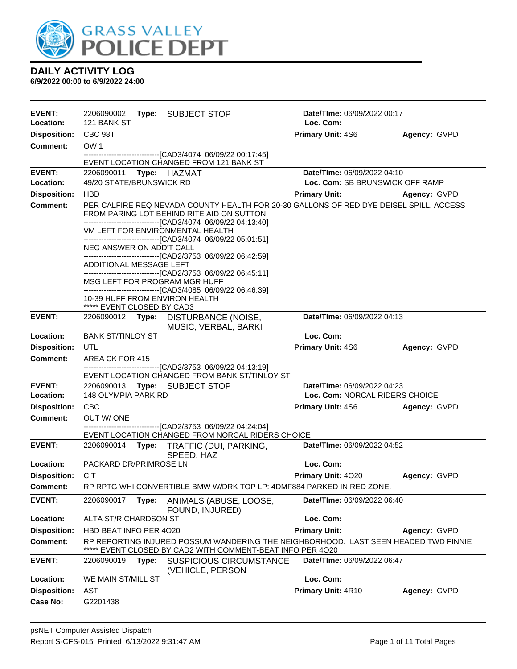

| <b>EVENT:</b><br>Location: | 2206090002<br>Type: SUBJECT STOP<br>121 BANK ST                                                                                                                                                    | Date/TIme: 06/09/2022 00:17<br>Loc. Com: |              |
|----------------------------|----------------------------------------------------------------------------------------------------------------------------------------------------------------------------------------------------|------------------------------------------|--------------|
| <b>Disposition:</b>        | CBC 98T                                                                                                                                                                                            | <b>Primary Unit: 4S6</b>                 | Agency: GVPD |
| <b>Comment:</b>            | OW <sub>1</sub>                                                                                                                                                                                    |                                          |              |
|                            | ------------------------------[CAD3/4074 06/09/22 00:17:45]<br>EVENT LOCATION CHANGED FROM 121 BANK ST                                                                                             |                                          |              |
| <b>EVENT:</b>              | Type: HAZMAT<br>2206090011                                                                                                                                                                         | Date/TIme: 06/09/2022 04:10              |              |
| <b>Location:</b>           | 49/20 STATE/BRUNSWICK RD                                                                                                                                                                           | Loc. Com: SB BRUNSWICK OFF RAMP          |              |
| <b>Disposition:</b>        | <b>HBD</b>                                                                                                                                                                                         | <b>Primary Unit:</b>                     | Agency: GVPD |
| <b>Comment:</b>            | PER CALFIRE REQ NEVADA COUNTY HEALTH FOR 20-30 GALLONS OF RED DYE DEISEL SPILL. ACCESS<br>FROM PARING LOT BEHIND RITE AID ON SUTTON<br>------------------------------[CAD3/4074 06/09/22 04:13:40] |                                          |              |
|                            | VM LEFT FOR ENVIRONMENTAL HEALTH<br>-------------------------------[CAD3/4074 06/09/22 05:01:51]                                                                                                   |                                          |              |
|                            | NEG ANSWER ON ADD'T CALL<br>-------------------------------[CAD2/3753 06/09/22 06:42:59]                                                                                                           |                                          |              |
|                            | ADDITIONAL MESSAGE LEFT                                                                                                                                                                            |                                          |              |
|                            | -------------------------------[CAD2/3753_06/09/22_06:45:11]<br>MSG LEFT FOR PROGRAM MGR HUFF<br>-------------------------------[CAD3/4085 06/09/22 06:46:39]                                      |                                          |              |
|                            | 10-39 HUFF FROM ENVIRON HEALTH<br>***** EVENT CLOSED BY CAD3                                                                                                                                       |                                          |              |
| <b>EVENT:</b>              | 2206090012 Type:<br><b>DISTURBANCE (NOISE,</b><br>MUSIC, VERBAL, BARKI                                                                                                                             | Date/TIme: 06/09/2022 04:13              |              |
| Location:                  | <b>BANK ST/TINLOY ST</b>                                                                                                                                                                           | Loc. Com:                                |              |
| <b>Disposition:</b>        | UTL                                                                                                                                                                                                | <b>Primary Unit: 4S6</b>                 | Agency: GVPD |
| <b>Comment:</b>            | AREA CK FOR 415                                                                                                                                                                                    |                                          |              |
|                            | -------------------------------[CAD2/3753 06/09/22 04:13:19]<br>EVENT LOCATION CHANGED FROM BANK ST/TINLOY ST                                                                                      |                                          |              |
| <b>EVENT:</b>              | 2206090013 Type: SUBJECT STOP                                                                                                                                                                      | Date/TIme: 06/09/2022 04:23              |              |
| <b>Location:</b>           | 148 OLYMPIA PARK RD                                                                                                                                                                                | Loc. Com: NORCAL RIDERS CHOICE           |              |
| <b>Disposition:</b>        | <b>CBC</b>                                                                                                                                                                                         | <b>Primary Unit: 4S6</b>                 | Agency: GVPD |
| <b>Comment:</b>            | OUT W/ONE<br>-------------------------------[CAD2/3753 06/09/22 04:24:04]                                                                                                                          |                                          |              |
|                            | EVENT LOCATION CHANGED FROM NORCAL RIDERS CHOICE                                                                                                                                                   |                                          |              |
| <b>EVENT:</b>              | 2206090014<br>Type: TRAFFIC (DUI, PARKING,<br>SPEED, HAZ                                                                                                                                           | Date/TIme: 06/09/2022 04:52              |              |
| <b>Location:</b>           | PACKARD DR/PRIMROSE LN                                                                                                                                                                             | Loc. Com:                                |              |
| <b>Disposition:</b>        | <b>CIT</b>                                                                                                                                                                                         | Primary Unit: 4020                       | Agency: GVPD |
| <b>Comment:</b>            | RP RPTG WHI CONVERTIBLE BMW W/DRK TOP LP: 4DMF884 PARKED IN RED ZONE.                                                                                                                              |                                          |              |
| <b>EVENT:</b>              | 2206090017<br>Type:<br>ANIMALS (ABUSE, LOOSE,                                                                                                                                                      | Date/TIme: 06/09/2022 06:40              |              |
|                            | FOUND, INJURED)                                                                                                                                                                                    |                                          |              |
| Location:                  | ALTA ST/RICHARDSON ST                                                                                                                                                                              | Loc. Com:                                |              |
| <b>Disposition:</b>        | HBD BEAT INFO PER 4020                                                                                                                                                                             | <b>Primary Unit:</b>                     | Agency: GVPD |
| <b>Comment:</b>            | RP REPORTING INJURED POSSUM WANDERING THE NEIGHBORHOOD. LAST SEEN HEADED TWD FINNIE<br>EVENT CLOSED BY CAD2 WITH COMMENT-BEAT INFO PER 4O20                                                        |                                          |              |
| <b>EVENT:</b>              | 2206090019<br>Type:<br><b>SUSPICIOUS CIRCUMSTANCE</b><br>(VEHICLE, PERSON                                                                                                                          | Date/TIme: 06/09/2022 06:47              |              |
| Location:                  | WE MAIN ST/MILL ST                                                                                                                                                                                 | Loc. Com:                                |              |
| <b>Disposition:</b>        | AST                                                                                                                                                                                                | Primary Unit: 4R10                       | Agency: GVPD |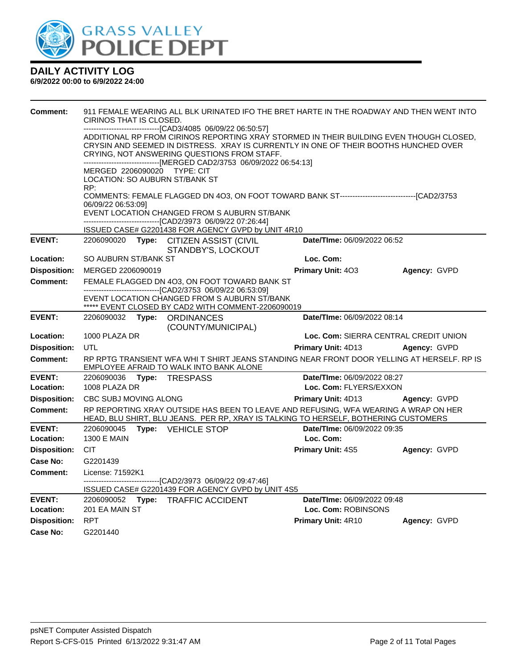

| <b>Comment:</b>     | 911 FEMALE WEARING ALL BLK URINATED IFO THE BRET HARTE IN THE ROADWAY AND THEN WENT INTO<br>CIRINOS THAT IS CLOSED.<br>-------------------------------[CAD3/4085 06/09/22 06:50:57] |                                                                                                     |                                                                                                                                                                                                                                |                             |                                       |  |  |  |
|---------------------|-------------------------------------------------------------------------------------------------------------------------------------------------------------------------------------|-----------------------------------------------------------------------------------------------------|--------------------------------------------------------------------------------------------------------------------------------------------------------------------------------------------------------------------------------|-----------------------------|---------------------------------------|--|--|--|
|                     |                                                                                                                                                                                     |                                                                                                     | ADDITIONAL RP FROM CIRINOS REPORTING XRAY STORMED IN THEIR BUILDING EVEN THOUGH CLOSED,<br>CRYSIN AND SEEMED IN DISTRESS. XRAY IS CURRENTLY IN ONE OF THEIR BOOTHS HUNCHED OVER<br>CRYING, NOT ANSWERING QUESTIONS FROM STAFF. |                             |                                       |  |  |  |
|                     |                                                                                                                                                                                     | ------------------------------[MERGED CAD2/3753 06/09/2022 06:54:13]<br>MERGED 2206090020 TYPE: CIT |                                                                                                                                                                                                                                |                             |                                       |  |  |  |
|                     | LOCATION: SO AUBURN ST/BANK ST<br>RP:                                                                                                                                               |                                                                                                     |                                                                                                                                                                                                                                |                             |                                       |  |  |  |
|                     |                                                                                                                                                                                     |                                                                                                     | COMMENTS: FEMALE FLAGGED DN 403, ON FOOT TOWARD BANK ST-------------------------------[CAD2/3753                                                                                                                               |                             |                                       |  |  |  |
|                     | 06/09/22 06:53:09]                                                                                                                                                                  |                                                                                                     | EVENT LOCATION CHANGED FROM S AUBURN ST/BANK<br>-------------------------------[CAD2/3973 06/09/22 07:26:44]                                                                                                                   |                             |                                       |  |  |  |
|                     |                                                                                                                                                                                     |                                                                                                     | ISSUED CASE# G2201438 FOR AGENCY GVPD by UNIT 4R10                                                                                                                                                                             |                             |                                       |  |  |  |
| <b>EVENT:</b>       | 2206090020                                                                                                                                                                          |                                                                                                     | Type: CITIZEN ASSIST (CIVIL<br>STANDBY'S, LOCKOUT                                                                                                                                                                              | Date/TIme: 06/09/2022 06:52 |                                       |  |  |  |
| Location:           | SO AUBURN ST/BANK ST                                                                                                                                                                |                                                                                                     |                                                                                                                                                                                                                                | Loc. Com:                   |                                       |  |  |  |
| <b>Disposition:</b> | MERGED 2206090019                                                                                                                                                                   |                                                                                                     |                                                                                                                                                                                                                                | Primary Unit: 403           | Agency: GVPD                          |  |  |  |
| Comment:            |                                                                                                                                                                                     |                                                                                                     | FEMALE FLAGGED DN 403, ON FOOT TOWARD BANK ST<br>---------------------------------[CAD2/3753 06/09/22 06:53:09]                                                                                                                |                             |                                       |  |  |  |
|                     |                                                                                                                                                                                     |                                                                                                     | EVENT LOCATION CHANGED FROM S AUBURN ST/BANK<br>***** EVENT CLOSED BY CAD2 WITH COMMENT-2206090019                                                                                                                             |                             |                                       |  |  |  |
| <b>EVENT:</b>       | 2206090032                                                                                                                                                                          |                                                                                                     | Type: ORDINANCES                                                                                                                                                                                                               | Date/TIme: 06/09/2022 08:14 |                                       |  |  |  |
|                     |                                                                                                                                                                                     |                                                                                                     | (COUNTY/MUNICIPAL)                                                                                                                                                                                                             |                             |                                       |  |  |  |
| Location:           | 1000 PLAZA DR                                                                                                                                                                       |                                                                                                     |                                                                                                                                                                                                                                |                             | Loc. Com: SIERRA CENTRAL CREDIT UNION |  |  |  |
| <b>Disposition:</b> | UTL                                                                                                                                                                                 |                                                                                                     |                                                                                                                                                                                                                                | Primary Unit: 4D13          | Agency: GVPD                          |  |  |  |
| <b>Comment:</b>     |                                                                                                                                                                                     |                                                                                                     | RP RPTG TRANSIENT WFA WHI T SHIRT JEANS STANDING NEAR FRONT DOOR YELLING AT HERSELF. RP IS<br>EMPLOYEE AFRAID TO WALK INTO BANK ALONE                                                                                          |                             |                                       |  |  |  |
| <b>EVENT:</b>       | 2206090036                                                                                                                                                                          |                                                                                                     | Type: TRESPASS                                                                                                                                                                                                                 | Date/TIme: 06/09/2022 08:27 |                                       |  |  |  |
| Location:           | 1008 PLAZA DR                                                                                                                                                                       |                                                                                                     |                                                                                                                                                                                                                                | Loc. Com: FLYERS/EXXON      |                                       |  |  |  |
| <b>Disposition:</b> | CBC SUBJ MOVING ALONG                                                                                                                                                               |                                                                                                     |                                                                                                                                                                                                                                | <b>Primary Unit: 4D13</b>   | Agency: GVPD                          |  |  |  |
| <b>Comment:</b>     |                                                                                                                                                                                     |                                                                                                     | RP REPORTING XRAY OUTSIDE HAS BEEN TO LEAVE AND REFUSING, WFA WEARING A WRAP ON HER<br>HEAD, BLU SHIRT, BLU JEANS. PER RP, XRAY IS TALKING TO HERSELF, BOTHERING CUSTOMERS                                                     |                             |                                       |  |  |  |
| <b>EVENT:</b>       | 2206090045                                                                                                                                                                          |                                                                                                     | Type: VEHICLE STOP                                                                                                                                                                                                             | Date/TIme: 06/09/2022 09:35 |                                       |  |  |  |
| Location:           | <b>1300 E MAIN</b>                                                                                                                                                                  |                                                                                                     |                                                                                                                                                                                                                                | Loc. Com:                   |                                       |  |  |  |
| <b>Disposition:</b> | <b>CIT</b>                                                                                                                                                                          |                                                                                                     |                                                                                                                                                                                                                                | <b>Primary Unit: 4S5</b>    | Agency: GVPD                          |  |  |  |
| Case No:            | G2201439                                                                                                                                                                            |                                                                                                     |                                                                                                                                                                                                                                |                             |                                       |  |  |  |
| Comment:            | License: 71592K1                                                                                                                                                                    |                                                                                                     | -------------------------------[CAD2/3973 06/09/22 09:47:46]                                                                                                                                                                   |                             |                                       |  |  |  |
|                     |                                                                                                                                                                                     |                                                                                                     | ISSUED CASE# G2201439 FOR AGENCY GVPD by UNIT 4S5                                                                                                                                                                              |                             |                                       |  |  |  |
| <b>EVENT:</b>       |                                                                                                                                                                                     |                                                                                                     | 2206090052 Type: TRAFFIC ACCIDENT                                                                                                                                                                                              | Date/TIme: 06/09/2022 09:48 |                                       |  |  |  |
| Location:           | 201 EA MAIN ST                                                                                                                                                                      |                                                                                                     |                                                                                                                                                                                                                                | Loc. Com: ROBINSONS         |                                       |  |  |  |
| <b>Disposition:</b> | <b>RPT</b>                                                                                                                                                                          |                                                                                                     |                                                                                                                                                                                                                                | Primary Unit: 4R10          | Agency: GVPD                          |  |  |  |
| Case No:            | G2201440                                                                                                                                                                            |                                                                                                     |                                                                                                                                                                                                                                |                             |                                       |  |  |  |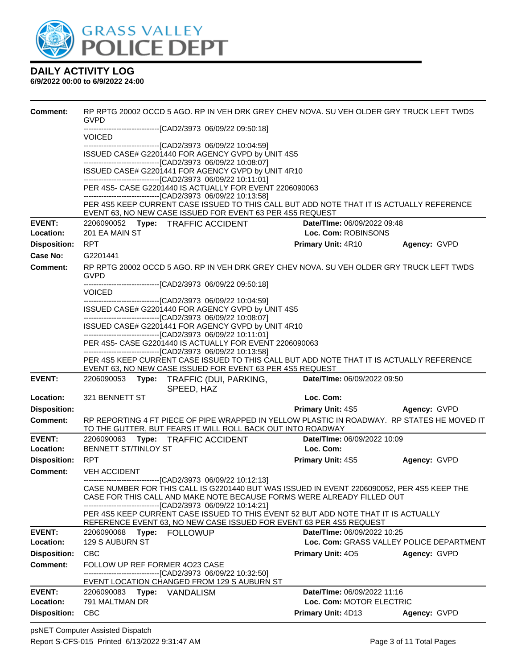

| <b>Comment:</b>     | RP RPTG 20002 OCCD 5 AGO. RP IN VEH DRK GREY CHEV NOVA. SU VEH OLDER GRY TRUCK LEFT TWDS<br><b>GVPD</b>                                                                                                                              |                                                         |                                          |  |  |  |  |
|---------------------|--------------------------------------------------------------------------------------------------------------------------------------------------------------------------------------------------------------------------------------|---------------------------------------------------------|------------------------------------------|--|--|--|--|
|                     | --------------------------[CAD2/3973 06/09/22 09:50:18]<br><b>VOICED</b>                                                                                                                                                             |                                                         |                                          |  |  |  |  |
|                     | -------------------------------[CAD2/3973 06/09/22 10:04:59]<br>ISSUED CASE# G2201440 FOR AGENCY GVPD by UNIT 4S5                                                                                                                    |                                                         |                                          |  |  |  |  |
|                     | ------------------------------[CAD2/3973 06/09/22 10:08:07]                                                                                                                                                                          |                                                         |                                          |  |  |  |  |
|                     | ISSUED CASE# G2201441 FOR AGENCY GVPD by UNIT 4R10<br>-------------------------------[CAD2/3973_06/09/22_10:11:01]                                                                                                                   |                                                         |                                          |  |  |  |  |
|                     | -------------------------------[CAD2/3973 06/09/22 10:13:58]                                                                                                                                                                         | PER 4S5- CASE G2201440 IS ACTUALLY FOR EVENT 2206090063 |                                          |  |  |  |  |
|                     | PER 4S5 KEEP CURRENT CASE ISSUED TO THIS CALL BUT ADD NOTE THAT IT IS ACTUALLY REFERENCE<br>EVENT 63, NO NEW CASE ISSUED FOR EVENT 63 PER 4S5 REQUEST                                                                                |                                                         |                                          |  |  |  |  |
| <b>EVENT:</b>       | 2206090052 Type: TRAFFIC ACCIDENT                                                                                                                                                                                                    | <b>Date/Time: 06/09/2022 09:48</b>                      |                                          |  |  |  |  |
| Location:           | 201 EA MAIN ST                                                                                                                                                                                                                       | Loc. Com: ROBINSONS                                     |                                          |  |  |  |  |
| <b>Disposition:</b> | <b>RPT</b>                                                                                                                                                                                                                           | <b>Primary Unit: 4R10</b>                               | Agency: GVPD                             |  |  |  |  |
| Case No:            | G2201441                                                                                                                                                                                                                             |                                                         |                                          |  |  |  |  |
| <b>Comment:</b>     | RP RPTG 20002 OCCD 5 AGO. RP IN VEH DRK GREY CHEV NOVA. SU VEH OLDER GRY TRUCK LEFT TWDS<br><b>GVPD</b><br>---------------------------------[CAD2/3973 06/09/22 09:50:18]                                                            |                                                         |                                          |  |  |  |  |
|                     | <b>VOICED</b>                                                                                                                                                                                                                        |                                                         |                                          |  |  |  |  |
|                     | -------------------------------[CAD2/3973_06/09/22_10:04:59]                                                                                                                                                                         |                                                         |                                          |  |  |  |  |
|                     | ISSUED CASE# G2201440 FOR AGENCY GVPD by UNIT 4S5<br>--------------------------------[CAD2/3973 06/09/22 10:08:07]                                                                                                                   |                                                         |                                          |  |  |  |  |
|                     | ISSUED CASE# G2201441 FOR AGENCY GVPD by UNIT 4R10<br>--------------------------------[CAD2/3973 06/09/22 10:11:01]                                                                                                                  |                                                         |                                          |  |  |  |  |
|                     | PER 4S5- CASE G2201440 IS ACTUALLY FOR EVENT 2206090063<br>-------------------------------[CAD2/3973_06/09/22_10:13:58]                                                                                                              |                                                         |                                          |  |  |  |  |
|                     | PER 4S5 KEEP CURRENT CASE ISSUED TO THIS CALL BUT ADD NOTE THAT IT IS ACTUALLY REFERENCE                                                                                                                                             |                                                         |                                          |  |  |  |  |
|                     | EVENT 63, NO NEW CASE ISSUED FOR EVENT 63 PER 4S5 REQUEST                                                                                                                                                                            |                                                         |                                          |  |  |  |  |
| <b>EVENT:</b>       | 2206090053<br>Type:<br>TRAFFIC (DUI, PARKING,<br>SPEED, HAZ                                                                                                                                                                          | Date/TIme: 06/09/2022 09:50                             |                                          |  |  |  |  |
| Location:           | 321 BENNETT ST                                                                                                                                                                                                                       | Loc. Com:                                               |                                          |  |  |  |  |
| <b>Disposition:</b> |                                                                                                                                                                                                                                      | Primary Unit: 4S5 Agency: GVPD                          |                                          |  |  |  |  |
| <b>Comment:</b>     | RP REPORTING 4 FT PIECE OF PIPE WRAPPED IN YELLOW PLASTIC IN ROADWAY. RP STATES HE MOVED IT<br>TO THE GUTTER, BUT FEARS IT WILL ROLL BACK OUT INTO ROADWAY                                                                           |                                                         |                                          |  |  |  |  |
| <b>EVENT:</b>       | 2206090063 Type: TRAFFIC ACCIDENT                                                                                                                                                                                                    | Date/TIme: 06/09/2022 10:09                             |                                          |  |  |  |  |
| Location:           | BENNETT ST/TINLOY ST                                                                                                                                                                                                                 | Loc. Com:                                               |                                          |  |  |  |  |
| <b>Disposition:</b> | RPT                                                                                                                                                                                                                                  | <b>Primary Unit: 4S5</b>                                | Agency: GVPD                             |  |  |  |  |
| <b>Comment:</b>     | <b>VEH ACCIDENT</b><br>--------------------------[CAD2/3973_06/09/22 10:12:13]                                                                                                                                                       |                                                         |                                          |  |  |  |  |
|                     | CASE NUMBER FOR THIS CALL IS G2201440 BUT WAS ISSUED IN EVENT 2206090052, PER 4S5 KEEP THE<br>CASE FOR THIS CALL AND MAKE NOTE BECAUSE FORMS WERE ALREADY FILLED OUT<br>-------------------------------[CAD2/3973 06/09/22 10:14:21] |                                                         |                                          |  |  |  |  |
|                     | PER 4S5 KEEP CURRENT CASE ISSUED TO THIS EVENT 52 BUT ADD NOTE THAT IT IS ACTUALLY<br>REFERENCE EVENT 63, NO NEW CASE ISSUED FOR EVENT 63 PER 4S5 REQUEST                                                                            |                                                         |                                          |  |  |  |  |
| <b>EVENT:</b>       | 2206090068<br><b>FOLLOWUP</b><br>Type:                                                                                                                                                                                               | Date/TIme: 06/09/2022 10:25                             |                                          |  |  |  |  |
| Location:           | <b>129 S AUBURN ST</b>                                                                                                                                                                                                               |                                                         | Loc. Com: GRASS VALLEY POLICE DEPARTMENT |  |  |  |  |
| <b>Disposition:</b> | <b>CBC</b>                                                                                                                                                                                                                           | <b>Primary Unit: 405</b>                                | Agency: GVPD                             |  |  |  |  |
| <b>Comment:</b>     | FOLLOW UP REF FORMER 4023 CASE                                                                                                                                                                                                       |                                                         |                                          |  |  |  |  |
|                     | -----------------------------------[CAD2/3973 06/09/22 10:32:50]<br>EVENT LOCATION CHANGED FROM 129 S AUBURN ST                                                                                                                      |                                                         |                                          |  |  |  |  |
| <b>EVENT:</b>       | 2206090083 Type: VANDALISM                                                                                                                                                                                                           | Date/TIme: 06/09/2022 11:16                             |                                          |  |  |  |  |
| Location:           | 791 MALTMAN DR                                                                                                                                                                                                                       | Loc. Com: MOTOR ELECTRIC                                |                                          |  |  |  |  |
| <b>Disposition:</b> | <b>CBC</b>                                                                                                                                                                                                                           | Primary Unit: 4D13                                      | Agency: GVPD                             |  |  |  |  |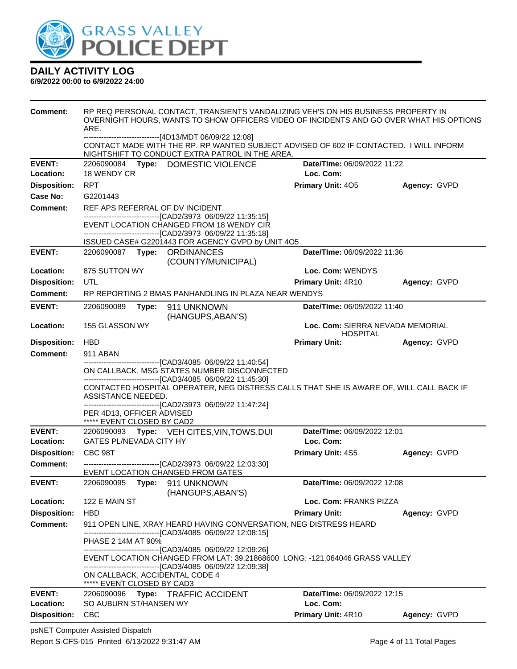

#### **6/9/2022 00:00 to 6/9/2022 24:00**

| Comment:                   | RP REQ PERSONAL CONTACT, TRANSIENTS VANDALIZING VEH'S ON HIS BUSINESS PROPERTY IN<br>OVERNIGHT HOURS, WANTS TO SHOW OFFICERS VIDEO OF INCIDENTS AND GO OVER WHAT HIS OPTIONS<br>ARE.                       |                             |              |  |  |  |  |
|----------------------------|------------------------------------------------------------------------------------------------------------------------------------------------------------------------------------------------------------|-----------------------------|--------------|--|--|--|--|
|                            | ------------------------------[4D13/MDT 06/09/22 12:08]<br>CONTACT MADE WITH THE RP. RP WANTED SUBJECT ADVISED OF 602 IF CONTACTED. I WILL INFORM<br>NIGHTSHIFT TO CONDUCT EXTRA PATROL IN THE AREA.       |                             |              |  |  |  |  |
| <b>EVENT:</b><br>Location: | 2206090084 Type: DOMESTIC VIOLENCE<br><b>Date/Time: 06/09/2022 11:22</b><br>18 WENDY CR<br>Loc. Com:                                                                                                       |                             |              |  |  |  |  |
| <b>Disposition:</b>        | <b>RPT</b>                                                                                                                                                                                                 | <b>Primary Unit: 405</b>    | Agency: GVPD |  |  |  |  |
| Case No:                   | G2201443                                                                                                                                                                                                   |                             |              |  |  |  |  |
| Comment:                   | REF APS REFERRAL OF DV INCIDENT.                                                                                                                                                                           |                             |              |  |  |  |  |
|                            | -------------------------------[CAD2/3973 06/09/22 11:35:15]<br>EVENT LOCATION CHANGED FROM 18 WENDY CIR<br>-------------------------------[CAD2/3973_06/09/22_11:35:18]                                   |                             |              |  |  |  |  |
|                            | ISSUED CASE# G2201443 FOR AGENCY GVPD by UNIT 4O5                                                                                                                                                          |                             |              |  |  |  |  |
| <b>EVENT:</b>              | 2206090087 Type: ORDINANCES<br>(COUNTY/MUNICIPAL)                                                                                                                                                          | Date/TIme: 06/09/2022 11:36 |              |  |  |  |  |
| Location:                  | 875 SUTTON WY                                                                                                                                                                                              | Loc. Com: WENDYS            |              |  |  |  |  |
| <b>Disposition:</b>        | UTL                                                                                                                                                                                                        | Primary Unit: 4R10          | Agency: GVPD |  |  |  |  |
| <b>Comment:</b>            | RP REPORTING 2 BMAS PANHANDLING IN PLAZA NEAR WENDYS                                                                                                                                                       |                             |              |  |  |  |  |
| <b>EVENT:</b>              | 2206090089<br>Type: 911 UNKNOWN<br>(HANGUPS, ABAN'S)                                                                                                                                                       | Date/TIme: 06/09/2022 11:40 |              |  |  |  |  |
| Location:                  | 155 GLASSON WY<br>Loc. Com: SIERRA NEVADA MEMORIAL<br><b>HOSPITAL</b>                                                                                                                                      |                             |              |  |  |  |  |
| <b>Disposition:</b>        | <b>HBD</b>                                                                                                                                                                                                 | <b>Primary Unit:</b>        | Agency: GVPD |  |  |  |  |
| <b>Comment:</b>            | 911 ABAN<br>-------------------------------[CAD3/4085 06/09/22 11:40:54]                                                                                                                                   |                             |              |  |  |  |  |
|                            | ON CALLBACK, MSG STATES NUMBER DISCONNECTED                                                                                                                                                                |                             |              |  |  |  |  |
|                            | -------------------------------[CAD3/4085 06/09/22 11:45:30]<br>CONTACTED HOSPITAL OPERATER, NEG DISTRESS CALLS THAT SHE IS AWARE OF, WILL CALL BACK IF                                                    |                             |              |  |  |  |  |
|                            | ASSISTANCE NEEDED.                                                                                                                                                                                         |                             |              |  |  |  |  |
|                            | ------------------------------[CAD2/3973_06/09/22 11:47:24]<br>PER 4D13, OFFICER ADVISED                                                                                                                   |                             |              |  |  |  |  |
|                            | ***** EVENT CLOSED BY CAD2                                                                                                                                                                                 |                             |              |  |  |  |  |
| <b>EVENT:</b>              | 2206090093 Type: VEH CITES, VIN, TOWS, DUI                                                                                                                                                                 | Date/TIme: 06/09/2022 12:01 |              |  |  |  |  |
| Location:                  | <b>GATES PL/NEVADA CITY HY</b>                                                                                                                                                                             | Loc. Com:                   |              |  |  |  |  |
| <b>Disposition:</b>        | CBC 98T                                                                                                                                                                                                    | Primary Unit: 4S5           | Agency: GVPD |  |  |  |  |
| <b>Comment:</b>            | --------------------------------[CAD2/3973 06/09/22 12:03:30]<br>EVENT LOCATION CHANGED FROM GATES                                                                                                         |                             |              |  |  |  |  |
| <b>EVENT:</b>              | 2206090095 Type: 911 UNKNOWN<br>(HANGUPS, ABAN'S)                                                                                                                                                          | Date/TIme: 06/09/2022 12:08 |              |  |  |  |  |
| Location:                  | 122 E MAIN ST                                                                                                                                                                                              | Loc. Com: FRANKS PIZZA      |              |  |  |  |  |
| <b>Disposition:</b>        | <b>HBD</b>                                                                                                                                                                                                 | <b>Primary Unit:</b>        | Agency: GVPD |  |  |  |  |
| <b>Comment:</b>            | 911 OPEN LINE, XRAY HEARD HAVING CONVERSATION, NEG DISTRESS HEARD<br>----------------------------------[CAD3/4085_06/09/22_12:08:15]                                                                       |                             |              |  |  |  |  |
|                            | PHASE 2 14M AT 90%                                                                                                                                                                                         |                             |              |  |  |  |  |
|                            | ------------------------------[CAD3/4085 06/09/22 12:09:26]<br>EVENT LOCATION CHANGED FROM LAT: 39.21868600 LONG: -121.064046 GRASS VALLEY<br>-------------------------------[CAD3/4085 06/09/22 12:09:38] |                             |              |  |  |  |  |
|                            | ON CALLBACK, ACCIDENTAL CODE 4<br>***** EVENT CLOSED BY CAD3                                                                                                                                               |                             |              |  |  |  |  |
| <b>EVENT:</b>              | 2206090096<br>Type: TRAFFIC ACCIDENT                                                                                                                                                                       | Date/TIme: 06/09/2022 12:15 |              |  |  |  |  |
| Location:                  | SO AUBURN ST/HANSEN WY                                                                                                                                                                                     | Loc. Com:                   |              |  |  |  |  |
| <b>Disposition:</b>        | <b>CBC</b>                                                                                                                                                                                                 | Primary Unit: 4R10          | Agency: GVPD |  |  |  |  |

psNET Computer Assisted Dispatch Report S-CFS-015 Printed 6/13/2022 9:31:47 AM Page 4 of 11 Total Pages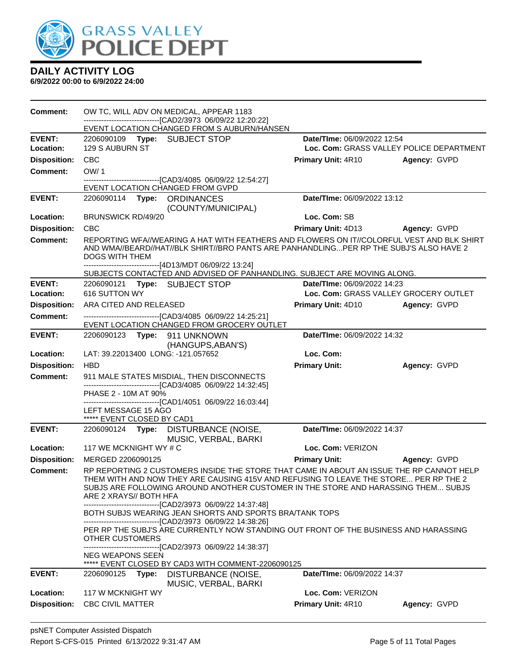

| <b>Comment:</b>     | OW TC, WILL ADV ON MEDICAL, APPEAR 1183<br>-------------------------------[CAD2/3973 06/09/22 12:20:22]<br>EVENT LOCATION CHANGED FROM S AUBURN/HANSEN                                                                                                                                          |                      |                                          |              |
|---------------------|-------------------------------------------------------------------------------------------------------------------------------------------------------------------------------------------------------------------------------------------------------------------------------------------------|----------------------|------------------------------------------|--------------|
| <b>EVENT:</b>       | 2206090109 Type: SUBJECT STOP                                                                                                                                                                                                                                                                   |                      | Date/TIme: 06/09/2022 12:54              |              |
| Location:           | 129 S AUBURN ST                                                                                                                                                                                                                                                                                 |                      | Loc. Com: GRASS VALLEY POLICE DEPARTMENT |              |
| <b>Disposition:</b> | <b>CBC</b>                                                                                                                                                                                                                                                                                      |                      | Primary Unit: 4R10                       | Agency: GVPD |
| <b>Comment:</b>     | OW/1                                                                                                                                                                                                                                                                                            |                      |                                          |              |
|                     | -------------------------------[CAD3/4085 06/09/22 12:54:27]<br>EVENT LOCATION CHANGED FROM GVPD                                                                                                                                                                                                |                      |                                          |              |
| <b>EVENT:</b>       | 2206090114 Type: ORDINANCES                                                                                                                                                                                                                                                                     |                      | Date/TIme: 06/09/2022 13:12              |              |
|                     |                                                                                                                                                                                                                                                                                                 | (COUNTY/MUNICIPAL)   |                                          |              |
| Location:           | <b>BRUNSWICK RD/49/20</b>                                                                                                                                                                                                                                                                       |                      | Loc. Com: SB                             |              |
| <b>Disposition:</b> | <b>CBC</b>                                                                                                                                                                                                                                                                                      |                      | Primary Unit: 4D13                       | Agency: GVPD |
| <b>Comment:</b>     | REPORTING WFA/WEARING A HAT WITH FEATHERS AND FLOWERS ON IT//COLORFUL VEST AND BLK SHIRT<br>AND WMA//BEARD//HAT//BLK SHIRT//BRO PANTS ARE PANHANDLINGPER RP THE SUBJ'S ALSO HAVE 2<br><b>DOGS WITH THEM</b>                                                                                     |                      |                                          |              |
|                     | ------------------------------[4D13/MDT 06/09/22 13:24]<br>SUBJECTS CONTACTED AND ADVISED OF PANHANDLING. SUBJECT ARE MOVING ALONG.                                                                                                                                                             |                      |                                          |              |
| <b>EVENT:</b>       | 2206090121 Type: SUBJECT STOP                                                                                                                                                                                                                                                                   |                      | Date/TIme: 06/09/2022 14:23              |              |
| Location:           | 616 SUTTON WY                                                                                                                                                                                                                                                                                   |                      | Loc. Com: GRASS VALLEY GROCERY OUTLET    |              |
| <b>Disposition:</b> | ARA CITED AND RELEASED                                                                                                                                                                                                                                                                          |                      | <b>Primary Unit: 4D10</b>                | Agency: GVPD |
| <b>Comment:</b>     | -------------------------------[CAD3/4085 06/09/22 14:25:21]<br>EVENT LOCATION CHANGED FROM GROCERY OUTLET                                                                                                                                                                                      |                      |                                          |              |
| <b>EVENT:</b>       | 2206090123 Type: 911 UNKNOWN                                                                                                                                                                                                                                                                    | (HANGUPS, ABAN'S)    | Date/TIme: 06/09/2022 14:32              |              |
| Location:           | LAT: 39.22013400 LONG: -121.057652                                                                                                                                                                                                                                                              |                      | Loc. Com:                                |              |
| <b>Disposition:</b> | <b>HBD</b>                                                                                                                                                                                                                                                                                      |                      | <b>Primary Unit:</b>                     | Agency: GVPD |
| <b>Comment:</b>     | 911 MALE STATES MISDIAL, THEN DISCONNECTS<br>-------------------------------[CAD3/4085 06/09/22 14:32:45]                                                                                                                                                                                       |                      |                                          |              |
|                     | PHASE 2 - 10M AT 90%<br>-------------------------------[CAD1/4051 06/09/22 16:03:44]                                                                                                                                                                                                            |                      |                                          |              |
|                     | LEFT MESSAGE 15 AGO<br>***** EVENT CLOSED BY CAD1                                                                                                                                                                                                                                               |                      |                                          |              |
| <b>EVENT:</b>       | 2206090124 Type: DISTURBANCE (NOISE,                                                                                                                                                                                                                                                            | MUSIC, VERBAL, BARKI | Date/TIme: 06/09/2022 14:37              |              |
| Location:           | 117 WE MCKNIGHT WY # C                                                                                                                                                                                                                                                                          |                      | Loc. Com: VERIZON                        |              |
| <b>Disposition:</b> | MERGED 2206090125                                                                                                                                                                                                                                                                               |                      | <b>Primary Unit:</b>                     | Agency: GVPD |
| <b>Comment:</b>     | RP REPORTING 2 CUSTOMERS INSIDE THE STORE THAT CAME IN ABOUT AN ISSUE THE RP CANNOT HELP<br>THEM WITH AND NOW THEY ARE CAUSING 415V AND REFUSING TO LEAVE THE STORE PER RP THE 2<br>SUBJS ARE FOLLOWING AROUND ANOTHER CUSTOMER IN THE STORE AND HARASSING THEM SUBJS<br>ARE 2 XRAYS// BOTH HFA |                      |                                          |              |
|                     | ----------------------------[CAD2/3973 06/09/22 14:37:48]<br>BOTH SUBJS WEARING JEAN SHORTS AND SPORTS BRA/TANK TOPS<br>-------------------------------[CAD2/3973 06/09/22 14:38:26]                                                                                                            |                      |                                          |              |
|                     | PER RP THE SUBJ'S ARE CURRENTLY NOW STANDING OUT FRONT OF THE BUSINESS AND HARASSING<br><b>OTHER CUSTOMERS</b><br>---------------------------[CAD2/3973_06/09/22 14:38:37]                                                                                                                      |                      |                                          |              |
|                     | NEG WEAPONS SEEN<br>***** EVENT CLOSED BY CAD3 WITH COMMENT-2206090125                                                                                                                                                                                                                          |                      |                                          |              |
| <b>EVENT:</b>       | 2206090125<br>Type:                                                                                                                                                                                                                                                                             | DISTURBANCE (NOISE,  | Date/TIme: 06/09/2022 14:37              |              |
|                     |                                                                                                                                                                                                                                                                                                 |                      |                                          |              |
| Location:           | 117 W MCKNIGHT WY                                                                                                                                                                                                                                                                               | MUSIC, VERBAL, BARKI | Loc. Com: VERIZON                        |              |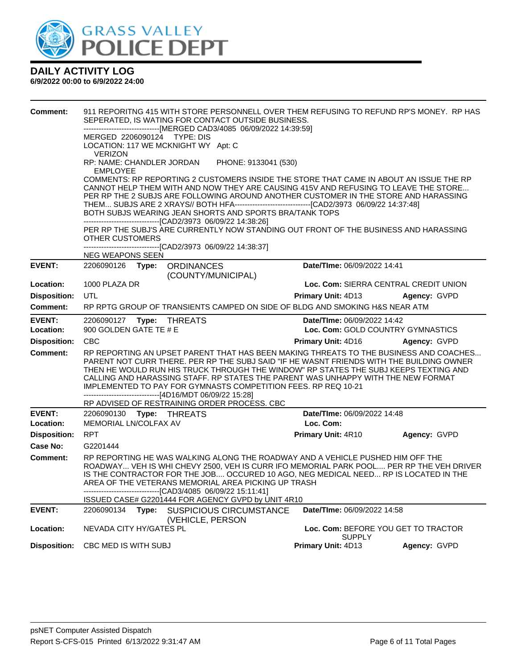

| <b>Comment:</b>            | 911 REPORITNG 415 WITH STORE PERSONNELL OVER THEM REFUSING TO REFUND RP'S MONEY. RP HAS<br>SEPERATED, IS WATING FOR CONTACT OUTSIDE BUSINESS.<br>------------------------------[MERGED CAD3/4085 06/09/2022 14:39:59]<br>MERGED 2206090124 TYPE: DIS<br>LOCATION: 117 WE MCKNIGHT WY Apt: C                                                                                                                                                                                                                                                                               |                                                                  |              |  |  |  |  |
|----------------------------|---------------------------------------------------------------------------------------------------------------------------------------------------------------------------------------------------------------------------------------------------------------------------------------------------------------------------------------------------------------------------------------------------------------------------------------------------------------------------------------------------------------------------------------------------------------------------|------------------------------------------------------------------|--------------|--|--|--|--|
|                            | <b>VERIZON</b><br>RP: NAME: CHANDLER JORDAN PHONE: 9133041 (530)<br><b>EMPLOYEE</b>                                                                                                                                                                                                                                                                                                                                                                                                                                                                                       |                                                                  |              |  |  |  |  |
|                            | COMMENTS: RP REPORTING 2 CUSTOMERS INSIDE THE STORE THAT CAME IN ABOUT AN ISSUE THE RP<br>CANNOT HELP THEM WITH AND NOW THEY ARE CAUSING 415V AND REFUSING TO LEAVE THE STORE<br>PER RP THE 2 SUBJS ARE FOLLOWING AROUND ANOTHER CUSTOMER IN THE STORE AND HARASSING<br>BOTH SUBJS WEARING JEAN SHORTS AND SPORTS BRA/TANK TOPS<br>-------------------------------[CAD2/3973 06/09/22 14:38:26]<br>PER RP THE SUBJ'S ARE CURRENTLY NOW STANDING OUT FRONT OF THE BUSINESS AND HARASSING<br>OTHER CUSTOMERS<br>------------------------------[CAD2/3973 06/09/22 14:38:37] |                                                                  |              |  |  |  |  |
|                            | <b>NEG WEAPONS SEEN</b>                                                                                                                                                                                                                                                                                                                                                                                                                                                                                                                                                   |                                                                  |              |  |  |  |  |
| <b>EVENT:</b>              | 2206090126 Type: ORDINANCES                                                                                                                                                                                                                                                                                                                                                                                                                                                                                                                                               | Date/TIme: 06/09/2022 14:41                                      |              |  |  |  |  |
| Location:                  | (COUNTY/MUNICIPAL)<br>1000 PLAZA DR                                                                                                                                                                                                                                                                                                                                                                                                                                                                                                                                       | Loc. Com: SIERRA CENTRAL CREDIT UNION                            |              |  |  |  |  |
| <b>Disposition:</b>        | <b>UTL</b>                                                                                                                                                                                                                                                                                                                                                                                                                                                                                                                                                                | <b>Primary Unit: 4D13</b>                                        | Agency: GVPD |  |  |  |  |
| <b>Comment:</b>            | RP RPTG GROUP OF TRANSIENTS CAMPED ON SIDE OF BLDG AND SMOKING H&S NEAR ATM                                                                                                                                                                                                                                                                                                                                                                                                                                                                                               |                                                                  |              |  |  |  |  |
| <b>EVENT:</b><br>Location: | 900 GOLDEN GATE TE # E                                                                                                                                                                                                                                                                                                                                                                                                                                                                                                                                                    | Date/TIme: 06/09/2022 14:42<br>Loc. Com: GOLD COUNTRY GYMNASTICS |              |  |  |  |  |
| <b>Disposition:</b>        | <b>CBC</b>                                                                                                                                                                                                                                                                                                                                                                                                                                                                                                                                                                | <b>Primary Unit: 4D16</b>                                        | Agency: GVPD |  |  |  |  |
| <b>Comment:</b>            | RP REPORTING AN UPSET PARENT THAT HAS BEEN MAKING THREATS TO THE BUSINESS AND COACHES<br>PARENT NOT CURR THERE. PER RP THE SUBJ SAID "IF HE WASNT FRIENDS WITH THE BUILDING OWNER<br>THEN HE WOULD RUN HIS TRUCK THROUGH THE WINDOW" RP STATES THE SUBJ KEEPS TEXTING AND<br>CALLING AND HARASSING STAFF. RP STATES THE PARENT WAS UNHAPPY WITH THE NEW FORMAT<br>IMPLEMENTED TO PAY FOR GYMNASTS COMPETITION FEES. RP REQ 10-21<br>------------------------------[4D16/MDT 06/09/22 15:28]                                                                               |                                                                  |              |  |  |  |  |
|                            | RP ADVISED OF RESTRAINING ORDER PROCESS. CBC                                                                                                                                                                                                                                                                                                                                                                                                                                                                                                                              |                                                                  |              |  |  |  |  |
| <b>EVENT:</b><br>Location: | 2206090130 Type: THREATS<br>MEMORIAL LN/COLFAX AV                                                                                                                                                                                                                                                                                                                                                                                                                                                                                                                         | Date/TIme: 06/09/2022 14:48<br>Loc. Com:                         |              |  |  |  |  |
| <b>Disposition:</b>        | <b>RPT</b>                                                                                                                                                                                                                                                                                                                                                                                                                                                                                                                                                                | Primary Unit: 4R10                                               | Agency: GVPD |  |  |  |  |
| Case No:                   | G2201444                                                                                                                                                                                                                                                                                                                                                                                                                                                                                                                                                                  |                                                                  |              |  |  |  |  |
| <b>Comment:</b>            | RP REPORTING HE WAS WALKING ALONG THE ROADWAY AND A VEHICLE PUSHED HIM OFF THE<br>ROADWAY VEH IS WHI CHEVY 2500, VEH IS CURR IFO MEMORIAL PARK POOL PER RP THE VEH DRIVER<br>IS THE CONTRACTOR FOR THE JOB OCCURED 10 AGO, NEG MEDICAL NEED RP IS LOCATED IN THE<br>AREA OF THE VETERANS MEMORIAL AREA PICKING UP TRASH<br>------------------------------[CAD3/4085 06/09/22 15:11:41]<br>ISSUED CASE# G2201444 FOR AGENCY GVPD by UNIT 4R10                                                                                                                              |                                                                  |              |  |  |  |  |
| <b>EVENT:</b>              | 2206090134 Type: SUSPICIOUS CIRCUMSTANCE                                                                                                                                                                                                                                                                                                                                                                                                                                                                                                                                  | Date/TIme: 06/09/2022 14:58                                      |              |  |  |  |  |
| Location:                  | (VEHICLE, PERSON<br>NEVADA CITY HY/GATES PL                                                                                                                                                                                                                                                                                                                                                                                                                                                                                                                               | Loc. Com: BEFORE YOU GET TO TRACTOR<br><b>SUPPLY</b>             |              |  |  |  |  |
| <b>Disposition:</b>        | CBC MED IS WITH SUBJ                                                                                                                                                                                                                                                                                                                                                                                                                                                                                                                                                      | Primary Unit: 4D13                                               | Agency: GVPD |  |  |  |  |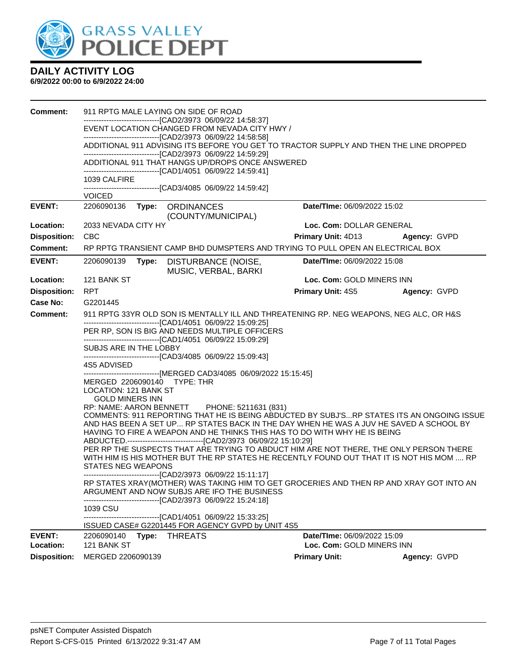

| <b>Comment:</b>     |                                                                                                                                                                  | 911 RPTG MALE LAYING ON SIDE OF ROAD<br>-------------------------------[CAD2/3973 06/09/22 14:58:37]<br>EVENT LOCATION CHANGED FROM NEVADA CITY HWY /<br>--------------------------------[CAD2/3973 06/09/22 14:58:58]<br>ADDITIONAL 911 ADVISING ITS BEFORE YOU GET TO TRACTOR SUPPLY AND THEN THE LINE DROPPED<br>-------------------------------[CAD2/3973 06/09/22 14:59:29]<br>ADDITIONAL 911 THAT HANGS UP/DROPS ONCE ANSWERED                                                                                                                                                                                                                                                                                                                                                                                                                                                                                                                                                                                                                                                                                                                                                                                                                                                                             |                             |              |
|---------------------|------------------------------------------------------------------------------------------------------------------------------------------------------------------|------------------------------------------------------------------------------------------------------------------------------------------------------------------------------------------------------------------------------------------------------------------------------------------------------------------------------------------------------------------------------------------------------------------------------------------------------------------------------------------------------------------------------------------------------------------------------------------------------------------------------------------------------------------------------------------------------------------------------------------------------------------------------------------------------------------------------------------------------------------------------------------------------------------------------------------------------------------------------------------------------------------------------------------------------------------------------------------------------------------------------------------------------------------------------------------------------------------------------------------------------------------------------------------------------------------|-----------------------------|--------------|
|                     | 1039 CALFIRE                                                                                                                                                     | -------------------------------[CAD1/4051 06/09/22 14:59:41]<br>-------------------------------[CAD3/4085 06/09/22 14:59:42]                                                                                                                                                                                                                                                                                                                                                                                                                                                                                                                                                                                                                                                                                                                                                                                                                                                                                                                                                                                                                                                                                                                                                                                     |                             |              |
|                     | <b>VOICED</b>                                                                                                                                                    |                                                                                                                                                                                                                                                                                                                                                                                                                                                                                                                                                                                                                                                                                                                                                                                                                                                                                                                                                                                                                                                                                                                                                                                                                                                                                                                  |                             |              |
| <b>EVENT:</b>       | 2206090136<br>Type:                                                                                                                                              | <b>ORDINANCES</b><br>(COUNTY/MUNICIPAL)                                                                                                                                                                                                                                                                                                                                                                                                                                                                                                                                                                                                                                                                                                                                                                                                                                                                                                                                                                                                                                                                                                                                                                                                                                                                          | Date/TIme: 06/09/2022 15:02 |              |
| Location:           | 2033 NEVADA CITY HY                                                                                                                                              |                                                                                                                                                                                                                                                                                                                                                                                                                                                                                                                                                                                                                                                                                                                                                                                                                                                                                                                                                                                                                                                                                                                                                                                                                                                                                                                  | Loc. Com: DOLLAR GENERAL    |              |
| <b>Disposition:</b> | <b>CBC</b>                                                                                                                                                       |                                                                                                                                                                                                                                                                                                                                                                                                                                                                                                                                                                                                                                                                                                                                                                                                                                                                                                                                                                                                                                                                                                                                                                                                                                                                                                                  | <b>Primary Unit: 4D13</b>   | Agency: GVPD |
| <b>Comment:</b>     |                                                                                                                                                                  | RP RPTG TRANSIENT CAMP BHD DUMSPTERS AND TRYING TO PULL OPEN AN ELECTRICAL BOX                                                                                                                                                                                                                                                                                                                                                                                                                                                                                                                                                                                                                                                                                                                                                                                                                                                                                                                                                                                                                                                                                                                                                                                                                                   |                             |              |
| <b>EVENT:</b>       | 2206090139<br>Type:                                                                                                                                              | DISTURBANCE (NOISE,<br>MUSIC, VERBAL, BARKI                                                                                                                                                                                                                                                                                                                                                                                                                                                                                                                                                                                                                                                                                                                                                                                                                                                                                                                                                                                                                                                                                                                                                                                                                                                                      | Date/TIme: 06/09/2022 15:08 |              |
| Location:           | 121 BANK ST                                                                                                                                                      |                                                                                                                                                                                                                                                                                                                                                                                                                                                                                                                                                                                                                                                                                                                                                                                                                                                                                                                                                                                                                                                                                                                                                                                                                                                                                                                  | Loc. Com: GOLD MINERS INN   |              |
| <b>Disposition:</b> | <b>RPT</b>                                                                                                                                                       |                                                                                                                                                                                                                                                                                                                                                                                                                                                                                                                                                                                                                                                                                                                                                                                                                                                                                                                                                                                                                                                                                                                                                                                                                                                                                                                  | <b>Primary Unit: 4S5</b>    | Agency: GVPD |
| <b>Case No:</b>     | G2201445                                                                                                                                                         |                                                                                                                                                                                                                                                                                                                                                                                                                                                                                                                                                                                                                                                                                                                                                                                                                                                                                                                                                                                                                                                                                                                                                                                                                                                                                                                  |                             |              |
| <b>Comment:</b>     |                                                                                                                                                                  | 911 RPTG 33YR OLD SON IS MENTALLY ILL AND THREATENING RP. NEG WEAPONS, NEG ALC, OR H&S                                                                                                                                                                                                                                                                                                                                                                                                                                                                                                                                                                                                                                                                                                                                                                                                                                                                                                                                                                                                                                                                                                                                                                                                                           |                             |              |
|                     | SUBJS ARE IN THE LOBBY<br>4S5 ADVISED<br>MERGED 2206090140 TYPE: THR<br>LOCATION: 121 BANK ST<br><b>GOLD MINERS INN</b><br><b>STATES NEG WEAPONS</b><br>1039 CSU | -------------------------------[CAD1/4051 06/09/22 15:09:25]<br>PER RP, SON IS BIG AND NEEDS MULTIPLE OFFICERS<br>-------------------------------[CAD1/4051 06/09/22 15:09:29]<br>-------------------------------[CAD3/4085 06/09/22 15:09:43]<br>------------------------------[MERGED CAD3/4085 06/09/2022 15:15:45]<br>RP: NAME: AARON BENNETT PHONE: 5211631 (831)<br>COMMENTS: 911 REPORTING THAT HE IS BEING ABDUCTED BY SUBJ'SRP STATES ITS AN ONGOING ISSUE<br>AND HAS BEEN A SET UP RP STATES BACK IN THE DAY WHEN HE WAS A JUV HE SAVED A SCHOOL BY<br>HAVING TO FIRE A WEAPON AND HE THINKS THIS HAS TO DO WITH WHY HE IS BEING<br>ABDUCTED.----------------------------------[CAD2/3973 06/09/22 15:10:29]<br>PER RP THE SUSPECTS THAT ARE TRYING TO ABDUCT HIM ARE NOT THERE, THE ONLY PERSON THERE<br>WITH HIM IS HIS MOTHER BUT THE RP STATES HE RECENTLY FOUND OUT THAT IT IS NOT HIS MOM  RP<br>----------------------------------[CAD2/3973 06/09/22 15:11:17]<br>RP STATES XRAY(MOTHER) WAS TAKING HIM TO GET GROCERIES AND THEN RP AND XRAY GOT INTO AN<br>ARGUMENT AND NOW SUBJS ARE IFO THE BUSINESS<br>--------------------------------[CAD2/3973 06/09/22 15:24:18]<br>-------------------------------[CAD1/4051 06/09/22 15:33:25]<br>ISSUED CASE# G2201445 FOR AGENCY GVPD by UNIT 4S5 |                             |              |
| <b>EVENT:</b>       | 2206090140<br>Type:                                                                                                                                              | <b>THREATS</b>                                                                                                                                                                                                                                                                                                                                                                                                                                                                                                                                                                                                                                                                                                                                                                                                                                                                                                                                                                                                                                                                                                                                                                                                                                                                                                   | Date/TIme: 06/09/2022 15:09 |              |
| Location:           | 121 BANK ST                                                                                                                                                      |                                                                                                                                                                                                                                                                                                                                                                                                                                                                                                                                                                                                                                                                                                                                                                                                                                                                                                                                                                                                                                                                                                                                                                                                                                                                                                                  | Loc. Com: GOLD MINERS INN   |              |
| <b>Disposition:</b> | MERGED 2206090139                                                                                                                                                |                                                                                                                                                                                                                                                                                                                                                                                                                                                                                                                                                                                                                                                                                                                                                                                                                                                                                                                                                                                                                                                                                                                                                                                                                                                                                                                  | <b>Primary Unit:</b>        | Agency: GVPD |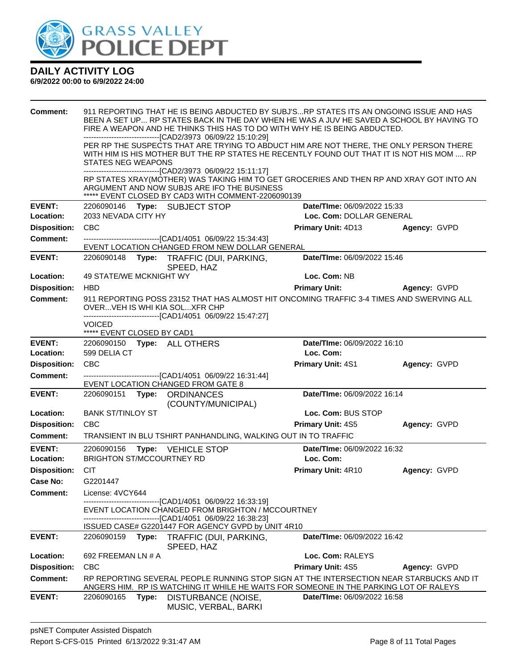

| <b>Comment:</b>            | 911 REPORTING THAT HE IS BEING ABDUCTED BY SUBJ'SRP STATES ITS AN ONGOING ISSUE AND HAS<br>BEEN A SET UP RP STATES BACK IN THE DAY WHEN HE WAS A JUV HE SAVED A SCHOOL BY HAVING TO<br>FIRE A WEAPON AND HE THINKS THIS HAS TO DO WITH WHY HE IS BEING ABDUCTED.<br>-------------------------------[CAD2/3973 06/09/22 15:10:29] |       |                                                                                                                                                                                                                                                       |                                          |              |  |
|----------------------------|----------------------------------------------------------------------------------------------------------------------------------------------------------------------------------------------------------------------------------------------------------------------------------------------------------------------------------|-------|-------------------------------------------------------------------------------------------------------------------------------------------------------------------------------------------------------------------------------------------------------|------------------------------------------|--------------|--|
|                            | PER RP THE SUSPECTS THAT ARE TRYING TO ABDUCT HIM ARE NOT THERE, THE ONLY PERSON THERE<br>WITH HIM IS HIS MOTHER BUT THE RP STATES HE RECENTLY FOUND OUT THAT IT IS NOT HIS MOM  RP<br><b>STATES NEG WEAPONS</b>                                                                                                                 |       |                                                                                                                                                                                                                                                       |                                          |              |  |
|                            |                                                                                                                                                                                                                                                                                                                                  |       | ------------------------[CAD2/3973 06/09/22 15:11:17]<br>RP STATES XRAY(MOTHER) WAS TAKING HIM TO GET GROCERIES AND THEN RP AND XRAY GOT INTO AN<br>ARGUMENT AND NOW SUBJS ARE IFO THE BUSINESS<br>***** EVENT CLOSED BY CAD3 WITH COMMENT-2206090139 |                                          |              |  |
| <b>EVENT:</b>              |                                                                                                                                                                                                                                                                                                                                  |       | 2206090146 Type: SUBJECT STOP                                                                                                                                                                                                                         | Date/TIme: 06/09/2022 15:33              |              |  |
| Location:                  | 2033 NEVADA CITY HY                                                                                                                                                                                                                                                                                                              |       |                                                                                                                                                                                                                                                       | Loc. Com: DOLLAR GENERAL                 |              |  |
| <b>Disposition:</b>        | CBC                                                                                                                                                                                                                                                                                                                              |       |                                                                                                                                                                                                                                                       | <b>Primary Unit: 4D13</b>                | Agency: GVPD |  |
| <b>Comment:</b>            |                                                                                                                                                                                                                                                                                                                                  |       | -------------------------------[CAD1/4051 06/09/22 15:34:43]<br>EVENT LOCATION CHANGED FROM NEW DOLLAR GENERAL                                                                                                                                        |                                          |              |  |
| <b>EVENT:</b>              |                                                                                                                                                                                                                                                                                                                                  |       | 2206090148 Type: TRAFFIC (DUI, PARKING,<br>SPEED, HAZ                                                                                                                                                                                                 | Date/TIme: 06/09/2022 15:46              |              |  |
| Location:                  | 49 STATE/WE MCKNIGHT WY                                                                                                                                                                                                                                                                                                          |       |                                                                                                                                                                                                                                                       | Loc. Com: NB                             |              |  |
| <b>Disposition:</b>        | <b>HBD</b>                                                                                                                                                                                                                                                                                                                       |       |                                                                                                                                                                                                                                                       | <b>Primary Unit:</b>                     | Agency: GVPD |  |
| <b>Comment:</b>            |                                                                                                                                                                                                                                                                                                                                  |       | 911 REPORTING POSS 23152 THAT HAS ALMOST HIT ONCOMING TRAFFIC 3-4 TIMES AND SWERVING ALL<br>OVER VEH IS WHI KIA SOL XFR CHP                                                                                                                           |                                          |              |  |
|                            | <b>VOICED</b><br>***** EVENT CLOSED BY CAD1                                                                                                                                                                                                                                                                                      |       | -------------------------------[CAD1/4051 06/09/22 15:47:27]                                                                                                                                                                                          |                                          |              |  |
| <b>EVENT:</b>              |                                                                                                                                                                                                                                                                                                                                  |       | 2206090150 Type: ALL OTHERS                                                                                                                                                                                                                           | Date/TIme: 06/09/2022 16:10              |              |  |
| Location:                  | 599 DELIA CT                                                                                                                                                                                                                                                                                                                     |       |                                                                                                                                                                                                                                                       | Loc. Com:                                |              |  |
| <b>Disposition:</b>        | <b>CBC</b>                                                                                                                                                                                                                                                                                                                       |       |                                                                                                                                                                                                                                                       | <b>Primary Unit: 4S1</b>                 | Agency: GVPD |  |
| <b>Comment:</b>            |                                                                                                                                                                                                                                                                                                                                  |       | ------------------------[CAD1/4051_06/09/22 16:31:44]<br>EVENT LOCATION CHANGED FROM GATE 8                                                                                                                                                           |                                          |              |  |
| <b>EVENT:</b>              |                                                                                                                                                                                                                                                                                                                                  |       | 2206090151 Type: ORDINANCES<br>(COUNTY/MUNICIPAL)                                                                                                                                                                                                     | Date/TIme: 06/09/2022 16:14              |              |  |
| Location:                  | <b>BANK ST/TINLOY ST</b>                                                                                                                                                                                                                                                                                                         |       |                                                                                                                                                                                                                                                       | Loc. Com: BUS STOP                       |              |  |
| <b>Disposition:</b>        | <b>CBC</b>                                                                                                                                                                                                                                                                                                                       |       |                                                                                                                                                                                                                                                       | Primary Unit: 4S5                        | Agency: GVPD |  |
| Comment:                   |                                                                                                                                                                                                                                                                                                                                  |       | TRANSIENT IN BLU TSHIRT PANHANDLING, WALKING OUT IN TO TRAFFIC                                                                                                                                                                                        |                                          |              |  |
| <b>EVENT:</b><br>Location: | 2206090156<br><b>BRIGHTON ST/MCCOURTNEY RD</b>                                                                                                                                                                                                                                                                                   |       | Type: VEHICLE STOP                                                                                                                                                                                                                                    | Date/TIme: 06/09/2022 16:32<br>Loc. Com: |              |  |
| <b>Disposition:</b>        | <b>CIT</b>                                                                                                                                                                                                                                                                                                                       |       |                                                                                                                                                                                                                                                       | Primary Unit: 4R10                       | Agency: GVPD |  |
| Case No:                   | G2201447                                                                                                                                                                                                                                                                                                                         |       |                                                                                                                                                                                                                                                       |                                          |              |  |
| <b>Comment:</b>            | License: 4VCY644                                                                                                                                                                                                                                                                                                                 |       |                                                                                                                                                                                                                                                       |                                          |              |  |
|                            |                                                                                                                                                                                                                                                                                                                                  |       | ------------------[CAD1/4051_06/09/22 16:33:19]<br>EVENT LOCATION CHANGED FROM BRIGHTON / MCCOURTNEY<br>--------------------------[CAD1/4051_06/09/22 16:38:23]                                                                                       |                                          |              |  |
|                            |                                                                                                                                                                                                                                                                                                                                  |       | ISSUED CASE# G2201447 FOR AGENCY GVPD by UNIT 4R10                                                                                                                                                                                                    |                                          |              |  |
| <b>EVENT:</b>              | 2206090159                                                                                                                                                                                                                                                                                                                       | Type: | TRAFFIC (DUI, PARKING,<br>SPEED, HAZ                                                                                                                                                                                                                  | Date/TIme: 06/09/2022 16:42              |              |  |
| Location:                  | 692 FREEMAN LN # A                                                                                                                                                                                                                                                                                                               |       |                                                                                                                                                                                                                                                       | Loc. Com: RALEYS                         |              |  |
| <b>Disposition:</b>        | <b>CBC</b>                                                                                                                                                                                                                                                                                                                       |       |                                                                                                                                                                                                                                                       | <b>Primary Unit: 4S5</b>                 | Agency: GVPD |  |
| <b>Comment:</b>            |                                                                                                                                                                                                                                                                                                                                  |       | RP REPORTING SEVERAL PEOPLE RUNNING STOP SIGN AT THE INTERSECTION NEAR STARBUCKS AND IT<br>ANGERS HIM. RP IS WATCHING IT WHILE HE WAITS FOR SOMEONE IN THE PARKING LOT OF RALEYS                                                                      |                                          |              |  |
| <b>EVENT:</b>              | 2206090165                                                                                                                                                                                                                                                                                                                       | Type: | DISTURBANCE (NOISE,<br>MUSIC, VERBAL, BARKI                                                                                                                                                                                                           | Date/TIme: 06/09/2022 16:58              |              |  |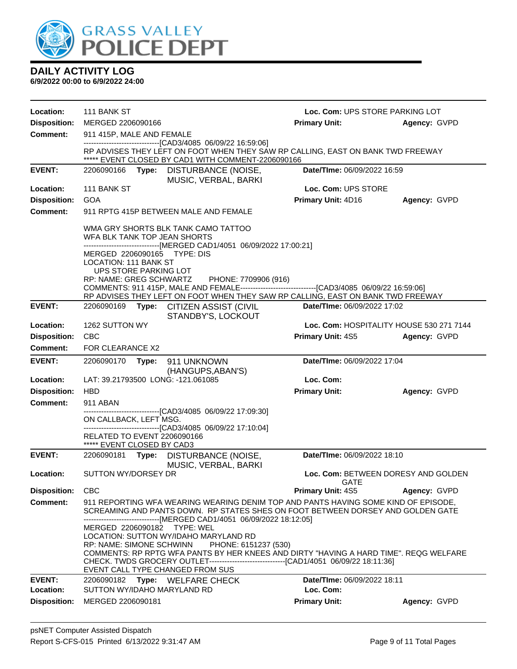

| <b>Location:</b>                       | 111 BANK ST                                                                                                                              |                                                                                                                                                                                                                                                                                                                            | Loc. Com: UPS STORE PARKING LOT             |              |  |
|----------------------------------------|------------------------------------------------------------------------------------------------------------------------------------------|----------------------------------------------------------------------------------------------------------------------------------------------------------------------------------------------------------------------------------------------------------------------------------------------------------------------------|---------------------------------------------|--------------|--|
| <b>Disposition:</b>                    | MERGED 2206090166                                                                                                                        |                                                                                                                                                                                                                                                                                                                            | <b>Primary Unit:</b>                        | Agency: GVPD |  |
| Comment:                               | 911 415P, MALE AND FEMALE                                                                                                                |                                                                                                                                                                                                                                                                                                                            |                                             |              |  |
|                                        |                                                                                                                                          | -------------------------------[CAD3/4085 06/09/22 16:59:06]<br>RP ADVISES THEY LEFT ON FOOT WHEN THEY SAW RP CALLING, EAST ON BANK TWD FREEWAY<br>***** EVENT CLOSED BY CAD1 WITH COMMENT-2206090166                                                                                                                      |                                             |              |  |
| <b>EVENT:</b>                          | 2206090166                                                                                                                               | Type: DISTURBANCE (NOISE,<br>MUSIC, VERBAL, BARKI                                                                                                                                                                                                                                                                          | Date/TIme: 06/09/2022 16:59                 |              |  |
| Location:                              | 111 BANK ST                                                                                                                              |                                                                                                                                                                                                                                                                                                                            | Loc. Com: UPS STORE                         |              |  |
| <b>Disposition:</b>                    | <b>GOA</b>                                                                                                                               |                                                                                                                                                                                                                                                                                                                            | <b>Primary Unit: 4D16</b>                   | Agency: GVPD |  |
| <b>Comment:</b>                        |                                                                                                                                          | 911 RPTG 415P BETWEEN MALE AND FEMALE                                                                                                                                                                                                                                                                                      |                                             |              |  |
|                                        | WFA BLK TANK TOP JEAN SHORTS<br>MERGED 2206090165 TYPE: DIS<br>LOCATION: 111 BANK ST<br>UPS STORE PARKING LOT<br>RP: NAME: GREG SCHWARTZ | WMA GRY SHORTS BLK TANK CAMO TATTOO<br>------------------------------[MERGED CAD1/4051 06/09/2022 17:00:21]<br>PHONE: 7709906 (916)<br>COMMENTS: 911 415P, MALE AND FEMALE--------------------------------[CAD3/4085 06/09/22 16:59:06]<br>RP ADVISES THEY LEFT ON FOOT WHEN THEY SAW RP CALLING, EAST ON BANK TWD FREEWAY |                                             |              |  |
| <b>EVENT:</b>                          | 2206090169                                                                                                                               | Type: CITIZEN ASSIST (CIVIL<br>STANDBY'S, LOCKOUT                                                                                                                                                                                                                                                                          | Date/TIme: 06/09/2022 17:02                 |              |  |
| Location:                              | 1262 SUTTON WY                                                                                                                           |                                                                                                                                                                                                                                                                                                                            | Loc. Com: HOSPITALITY HOUSE 530 271 7144    |              |  |
| <b>Disposition:</b>                    | <b>CBC</b>                                                                                                                               |                                                                                                                                                                                                                                                                                                                            | <b>Primary Unit: 4S5</b>                    | Agency: GVPD |  |
| <b>Comment:</b>                        | FOR CLEARANCE X2                                                                                                                         |                                                                                                                                                                                                                                                                                                                            |                                             |              |  |
| <b>EVENT:</b>                          | 2206090170<br>Type:                                                                                                                      | 911 UNKNOWN                                                                                                                                                                                                                                                                                                                | Date/TIme: 06/09/2022 17:04                 |              |  |
|                                        |                                                                                                                                          | (HANGUPS, ABAN'S)                                                                                                                                                                                                                                                                                                          |                                             |              |  |
| Location:                              | LAT: 39.21793500 LONG: -121.061085<br><b>HBD</b>                                                                                         |                                                                                                                                                                                                                                                                                                                            | Loc. Com:                                   |              |  |
| <b>Disposition:</b><br><b>Comment:</b> | 911 ABAN                                                                                                                                 |                                                                                                                                                                                                                                                                                                                            | <b>Primary Unit:</b>                        | Agency: GVPD |  |
|                                        |                                                                                                                                          | ----------------------[CAD3/4085_06/09/22 17:09:30]                                                                                                                                                                                                                                                                        |                                             |              |  |
|                                        | ON CALLBACK, LEFT MSG.                                                                                                                   | -------------------------------[CAD3/4085 06/09/22 17:10:04]                                                                                                                                                                                                                                                               |                                             |              |  |
|                                        | <b>RELATED TO EVENT 2206090166</b>                                                                                                       |                                                                                                                                                                                                                                                                                                                            |                                             |              |  |
|                                        | ***** EVENT CLOSED BY CAD3                                                                                                               |                                                                                                                                                                                                                                                                                                                            |                                             |              |  |
| <b>EVENT:</b>                          | 2206090181<br>Type:                                                                                                                      | DISTURBANCE (NOISE,<br>MUSIC, VERBAL, BARKI                                                                                                                                                                                                                                                                                | Date/TIme: 06/09/2022 18:10                 |              |  |
| Location:                              | SUTTON WY/DORSEY DR                                                                                                                      |                                                                                                                                                                                                                                                                                                                            | Loc. Com: BETWEEN DORESY AND GOLDEN<br>GATE |              |  |
| <b>Disposition:</b>                    | <b>CBC</b>                                                                                                                               |                                                                                                                                                                                                                                                                                                                            | <b>Primary Unit: 4S5</b>                    | Agency: GVPD |  |
| <b>Comment:</b>                        |                                                                                                                                          | 911 REPORTING WFA WEARING WEARING DENIM TOP AND PANTS HAVING SOME KIND OF EPISODE,<br>SCREAMING AND PANTS DOWN. RP STATES SHES ON FOOT BETWEEN DORSEY AND GOLDEN GATE                                                                                                                                                      |                                             |              |  |
|                                        | MERGED 2206090182 TYPE: WEL<br>RP: NAME: SIMONE SCHWINN<br>EVENT CALL TYPE CHANGED FROM SUS                                              | -----------------------[MERGED CAD1/4051_06/09/2022 18:12:05]<br>LOCATION: SUTTON WY/IDAHO MARYLAND RD<br>PHONE: 6151237 (530)<br>COMMENTS: RP RPTG WFA PANTS BY HER KNEES AND DIRTY "HAVING A HARD TIME". REQG WELFARE<br>CHECK. TWDS GROCERY OUTLET--------------------------------[CAD1/4051_06/09/22 18:11:36]         |                                             |              |  |
| <b>EVENT:</b>                          | 2206090182 Type: WELFARE CHECK                                                                                                           |                                                                                                                                                                                                                                                                                                                            | Date/TIme: 06/09/2022 18:11                 |              |  |
| Location:                              | SUTTON WY/IDAHO MARYLAND RD                                                                                                              |                                                                                                                                                                                                                                                                                                                            | Loc. Com:                                   |              |  |
| <b>Disposition:</b>                    | MERGED 2206090181                                                                                                                        |                                                                                                                                                                                                                                                                                                                            | <b>Primary Unit:</b>                        | Agency: GVPD |  |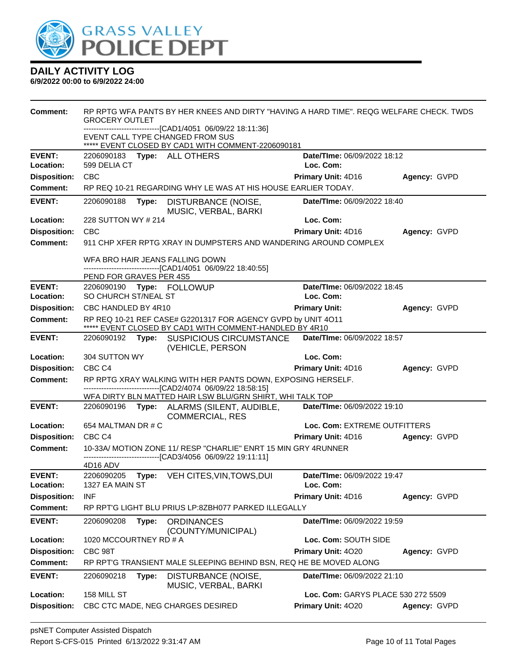

| <b>Comment:</b>     | <b>GROCERY OUTLET</b>       |       | RP RPTG WFA PANTS BY HER KNEES AND DIRTY "HAVING A HARD TIME". REQG WELFARE CHECK, TWDS                                       |                                    |              |
|---------------------|-----------------------------|-------|-------------------------------------------------------------------------------------------------------------------------------|------------------------------------|--------------|
|                     |                             |       | -------------------[CAD1/4051_06/09/22 18:11:36]                                                                              |                                    |              |
|                     |                             |       | EVENT CALL TYPE CHANGED FROM SUS<br>***** EVENT CLOSED BY CAD1 WITH COMMENT-2206090181                                        |                                    |              |
| <b>EVENT:</b>       | 2206090183 Type: ALL OTHERS |       |                                                                                                                               | Date/TIme: 06/09/2022 18:12        |              |
| Location:           | 599 DELIA CT                |       |                                                                                                                               | Loc. Com:                          |              |
| <b>Disposition:</b> | <b>CBC</b>                  |       |                                                                                                                               | Primary Unit: 4D16                 | Agency: GVPD |
| Comment:            |                             |       | RP REQ 10-21 REGARDING WHY LE WAS AT HIS HOUSE EARLIER TODAY.                                                                 |                                    |              |
| <b>EVENT:</b>       | 2206090188                  | Type: | DISTURBANCE (NOISE,<br>MUSIC, VERBAL, BARKI                                                                                   | Date/TIme: 06/09/2022 18:40        |              |
| Location:           | 228 SUTTON WY # 214         |       |                                                                                                                               | Loc. Com:                          |              |
| <b>Disposition:</b> | <b>CBC</b>                  |       |                                                                                                                               | Primary Unit: 4D16                 | Agency: GVPD |
| <b>Comment:</b>     |                             |       | 911 CHP XFER RPTG XRAY IN DUMPSTERS AND WANDERING AROUND COMPLEX                                                              |                                    |              |
|                     |                             |       | WFA BRO HAIR JEANS FALLING DOWN<br>-------------------------------[CAD1/4051 06/09/22 18:40:55]                               |                                    |              |
|                     | PEND FOR GRAVES PER 4S5     |       |                                                                                                                               |                                    |              |
| <b>EVENT:</b>       | 2206090190 Type: FOLLOWUP   |       |                                                                                                                               | Date/TIme: 06/09/2022 18:45        |              |
| Location:           | SO CHURCH ST/NEAL ST        |       |                                                                                                                               | Loc. Com:                          |              |
| <b>Disposition:</b> | CBC HANDLED BY 4R10         |       |                                                                                                                               | <b>Primary Unit:</b>               | Agency: GVPD |
| <b>Comment:</b>     |                             |       | RP REQ 10-21 REF CASE# G2201317 FOR AGENCY GVPD by UNIT 4O11<br>***** EVENT CLOSED BY CAD1 WITH COMMENT-HANDLED BY 4R10       |                                    |              |
| <b>EVENT:</b>       |                             |       | 2206090192 Type: SUSPICIOUS CIRCUMSTANCE<br>(VEHICLE, PERSON                                                                  | Date/TIme: 06/09/2022 18:57        |              |
| Location:           | 304 SUTTON WY               |       |                                                                                                                               | Loc. Com:                          |              |
| <b>Disposition:</b> | CBC <sub>C4</sub>           |       |                                                                                                                               | <b>Primary Unit: 4D16</b>          | Agency: GVPD |
| <b>Comment:</b>     |                             |       | RP RPTG XRAY WALKING WITH HER PANTS DOWN, EXPOSING HERSELF.<br>-------------------------------[CAD2/4074 06/09/22 18:58:15]   |                                    |              |
|                     |                             |       | WFA DIRTY BLN MATTED HAIR LSW BLU/GRN SHIRT, WHI TALK TOP                                                                     |                                    |              |
| <b>EVENT:</b>       |                             |       | 2206090196 Type: ALARMS (SILENT, AUDIBLE,<br><b>COMMERCIAL, RES</b>                                                           | Date/TIme: 06/09/2022 19:10        |              |
| Location:           | 654 MALTMAN DR # C          |       |                                                                                                                               | Loc. Com: EXTREME OUTFITTERS       |              |
| <b>Disposition:</b> | CBC <sub>C4</sub>           |       |                                                                                                                               | <b>Primary Unit: 4D16</b>          | Agency: GVPD |
| Comment:            |                             |       | 10-33A/ MOTION ZONE 11/ RESP "CHARLIE" ENRT 15 MIN GRY 4RUNNER<br>------------------------------[CAD3/4056 06/09/22 19:11:11] |                                    |              |
|                     | 4D16 ADV                    |       |                                                                                                                               |                                    |              |
| <b>EVENT:</b>       | 2206090205                  |       | Type: VEH CITES, VIN, TOWS, DUI                                                                                               | Date/TIme: 06/09/2022 19:47        |              |
| Location:           | 1327 EA MAIN ST             |       |                                                                                                                               | Loc. Com:                          |              |
| <b>Disposition:</b> | <b>INF</b>                  |       |                                                                                                                               | <b>Primary Unit: 4D16</b>          | Agency: GVPD |
| <b>Comment:</b>     |                             |       | RP RPT'G LIGHT BLU PRIUS LP:8ZBH077 PARKED ILLEGALLY                                                                          |                                    |              |
| <b>EVENT:</b>       | 2206090208                  | Type: | <b>ORDINANCES</b><br>(COUNTY/MUNICIPAL)                                                                                       | Date/TIme: 06/09/2022 19:59        |              |
| Location:           | 1020 MCCOURTNEY RD # A      |       |                                                                                                                               | Loc. Com: SOUTH SIDE               |              |
| <b>Disposition:</b> | CBC 98T                     |       |                                                                                                                               | Primary Unit: 4020                 | Agency: GVPD |
| <b>Comment:</b>     |                             |       | RP RPT'G TRANSIENT MALE SLEEPING BEHIND BSN, REQ HE BE MOVED ALONG                                                            |                                    |              |
| <b>EVENT:</b>       | 2206090218                  | Type: | DISTURBANCE (NOISE,<br>MUSIC, VERBAL, BARKI                                                                                   | Date/TIme: 06/09/2022 21:10        |              |
| Location:           | 158 MILL ST                 |       |                                                                                                                               | Loc. Com: GARYS PLACE 530 272 5509 |              |
| <b>Disposition:</b> |                             |       | CBC CTC MADE, NEG CHARGES DESIRED                                                                                             | Primary Unit: 4020                 | Agency: GVPD |